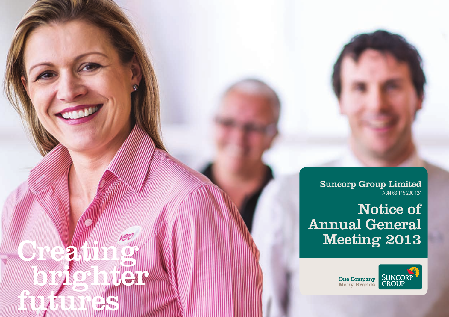Suncorp Group Limited ABN 66 145 290 124

Notice of Annual General Meeting 2013

Creating

brighter and the first state

futures and the control of the

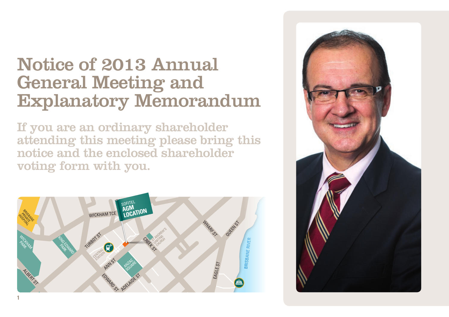## Notice of 2013 Annual General Meeting and Explanatory Memorandum

If you are an ordinary shareholder attending this meeting please bring this notice and the enclosed shareholder voting form with you.



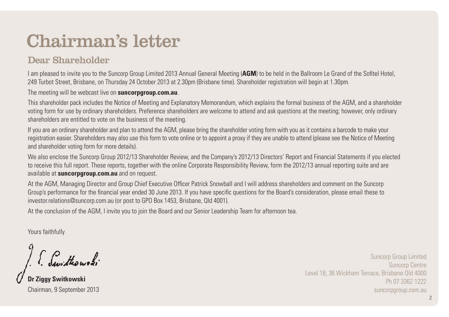## Chairman's letter

## Dear Shareholder

I am pleased to invite you to the Suncorp Group Limited 2013 Annual General Meeting (**AGM**) to be held in the Ballroom Le Grand of the Sofitel Hotel, 249 Turbot Street, Brisbane, on Thursday 24 October 2013 at 2.30pm (Brisbane time). Shareholder registration will begin at 1.30pm.

The meeting will be webcast live on **suncorpgroup.com.au**.

This shareholder pack includes the Notice of Meeting and Explanatory Memorandum, which explains the formal business of the AGM, and a shareholder voting form for use by ordinary shareholders. Preference shareholders are welcome to attend and ask questions at the meeting; however, only ordinary shareholders are entitled to vote on the business of the meeting.

If you are an ordinary shareholder and plan to attend the AGM, please bring the shareholder voting form with you as it contains a barcode to make your registration easier. Shareholders may also use this form to vote online or to appoint a proxy if they are unable to attend (please see the Notice of Meeting and shareholder voting form for more details).

We also enclose the Suncorp Group 2012/13 Shareholder Review, and the Company's 2012/13 Directors' Report and Financial Statements if you elected to receive this full report. These reports, together with the online Corporate Responsibility Review, form the 2012/13 annual reporting suite and are available at **suncorpgroup.com.au** and on request.

At the AGM, Managing Director and Group Chief Executive Officer Patrick Snowball and I will address shareholders and comment on the Suncorp Group's performance for the financial year ended 30 June 2013. If you have specific questions for the Board's consideration, please email these to investor.relations@suncorp.com.au (or post to GPO Box 1453, Brisbane, Qld 4001).

At the conclusion of the AGM, I invite you to join the Board and our Senior Leadership Team for afternoon tea.

Yours faithfully

I. Switterwoods

**Dr Ziggy Switkowski** Chairman, 9 September 2013

Suncorp Group Limited Suncorp Centre Level 18, 36 Wickham Terrace, Brisbane Qld 4000 Ph 07 3362 1222 suncorpgroup.com.au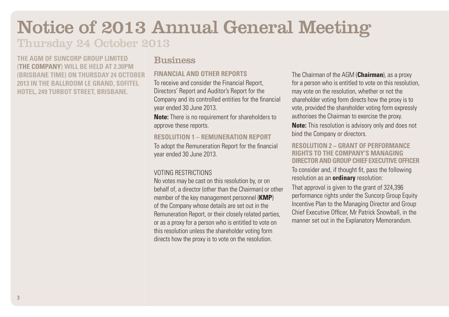# Notice of 2013 Annual General Meeting

## Thursday 24 October 2013

**The AGM of Suncorp Group Limited (the Company) will be held at 2.30pm (Brisbane time) on Thursday 24 October 2013 in the Ballroom Le Grand, Sofitel Hotel, 249 Turbot Street, Brisbane.** 

### **Business**

#### **Financial and other reports**

To receive and consider the Financial Report, Directors' Report and Auditor's Report for the Company and its controlled entities for the financial year ended 30 June 2013.

**Note:** There is no requirement for shareholders to approve these reports.

#### **Resolution 1 – Remuneration Report**

To adopt the Remuneration Report for the financial year ended 30 June 2013.

### Voting restrictions

No votes may be cast on this resolution by, or on behalf of, a director (other than the Chairman) or other member of the key management personnel (**KMP**) of the Company whose details are set out in the Remuneration Report, or their closely related parties, or as a proxy for a person who is entitled to vote on this resolution unless the shareholder voting form directs how the proxy is to vote on the resolution.

The Chairman of the AGM (**Chairman**), as a proxy for a person who is entitled to vote on this resolution, may vote on the resolution, whether or not the shareholder voting form directs how the proxy is to vote, provided the shareholder voting form expressly authorises the Chairman to exercise the proxy.

**Note:** This resolution is advisory only and does not bind the Company or directors.

#### **Resolution 2 − Grant of performance rights to the Company's Managing Director and Group Chief Executive Officer**

To consider and, if thought fit, pass the following resolution as an **ordinary** resolution:

That approval is given to the grant of 324,396 performance rights under the Suncorp Group Equity Incentive Plan to the Managing Director and Group Chief Executive Officer, Mr Patrick Snowball, in the manner set out in the Explanatory Memorandum.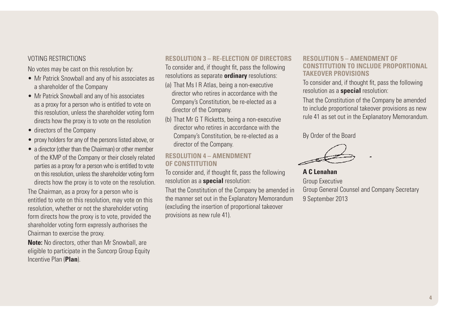#### Voting restrictions

No votes may be cast on this resolution by:

- Mr Patrick Snowball and any of his associates as a shareholder of the Company
- Mr Patrick Snowball and any of his associates as a proxy for a person who is entitled to vote on this resolution, unless the shareholder voting form directs how the proxy is to vote on the resolution
- directors of the Company
- proxy holders for any of the persons listed above, or
- $\bullet$  a director (other than the Chairman) or other member of the KMP of the Company or their closely related parties as a proxy for a person who is entitled to vote on this resolution, unless the shareholder voting form directs how the proxy is to vote on the resolution.

The Chairman, as a proxy for a person who is entitled to vote on this resolution, may vote on this resolution, whether or not the shareholder voting form directs how the proxy is to vote, provided the shareholder voting form expressly authorises the Chairman to exercise the proxy.

**Note:** No directors, other than Mr Snowball, are eligible to participate in the Suncorp Group Equity Incentive Plan (**Plan**).

## **Resolution 3 – Re-election of directors**

To consider and, if thought fit, pass the following resolutions as separate **ordinary** resolutions:

- (a) That Ms I R Atlas, being a non-executive director who retires in accordance with the Company's Constitution, be re-elected as a director of the Company.
- (b) That Mr G T Ricketts, being a non-executive director who retires in accordance with the Company's Constitution, be re-elected as a director of the Company.

#### **Resolution 4 – Amendment of Constitution**

To consider and, if thought fit, pass the following resolution as a **special** resolution:

That the Constitution of the Company be amended in the manner set out in the Explanatory Memorandum (excluding the insertion of proportional takeover provisions as new rule 41).

#### **Resolution 5 – Amendment of Constitution to include proportional takeover provisions**

To consider and, if thought fit, pass the following resolution as a **special** resolution:

That the Constitution of the Company be amended to include proportional takeover provisions as new rule 41 as set out in the Explanatory Memorandum.

By Order of the Board

**A C Lenahan** Group Executive

Group General Counsel and Company Secretary 9 September 2013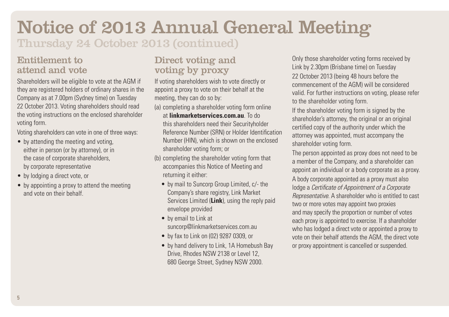# Notice of 2013 Annual General Meeting

Thursday 24 October 2013 (continued)

## Entitlement to attend and vote

Shareholders will be eligible to vote at the AGM if they are registered holders of ordinary shares in the Company as at 7.00pm (Sydney time) on Tuesday 22 October 2013. Voting shareholders should read the voting instructions on the enclosed shareholder voting form.

Voting shareholders can vote in one of three ways:

- by attending the meeting and voting, either in person (or by attorney), or in the case of corporate shareholders, by corporate representative
- by lodging a direct vote, or
- by appointing a proxy to attend the meeting and vote on their behalf.

## Direct voting and voting by proxy

If voting shareholders wish to vote directly or appoint a proxy to vote on their behalf at the meeting, they can do so by:

- (a) completing a shareholder voting form online at **linkmarketservices.com.au**. To do this shareholders need their Securityholder Reference Number (SRN) or Holder Identification Number (HIN), which is shown on the enclosed shareholder voting form; or
- (b) completing the shareholder voting form that accompanies this Notice of Meeting and returning it either:
	- by mail to Suncorp Group Limited, c/- the Company's share registry, Link Market Services Limited (**Link**), using the reply paid envelope provided
	- by email to Link at suncorp@linkmarketservices.com.au
	- • by fax to Link on (02) 9287 0309, or
	- by hand delivery to Link, 1A Homebush Bay Drive, Rhodes NSW 2138 or Level 12, 680 George Street, Sydney NSW 2000.

Only those shareholder voting forms received by Link by 2.30pm (Brisbane time) on Tuesday 22 October 2013 (being 48 hours before the commencement of the AGM) will be considered valid. For further instructions on voting, please refer to the shareholder voting form.

If the shareholder voting form is signed by the shareholder's attorney, the original or an original certified copy of the authority under which the attorney was appointed, must accompany the shareholder voting form.

The person appointed as proxy does not need to be a member of the Company, and a shareholder can appoint an individual or a body corporate as a proxy.

A body corporate appointed as a proxy must also lodge a *Certificate of Appointment of a Corporate Representative*. A shareholder who is entitled to cast two or more votes may appoint two proxies and may specify the proportion or number of votes each proxy is appointed to exercise. If a shareholder who has lodged a direct vote or appointed a proxy to vote on their behalf attends the AGM, the direct vote or proxy appointment is cancelled or suspended.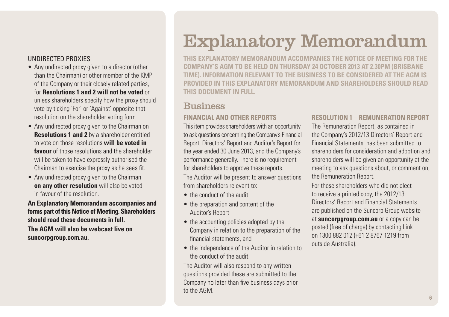#### Undirected proxies

- Any undirected proxy given to a director (other than the Chairman) or other member of the KMP of the Company or their closely related parties, for **Resolutions 1 and 2 will not be voted** on unless shareholders specify how the proxy should vote by ticking 'For' or 'Against' opposite that resolution on the shareholder voting form.
- Any undirected proxy given to the Chairman on **Resolutions 1 and 2** by a shareholder entitled to vote on those resolutions **will be voted in favour** of those resolutions and the shareholder will be taken to have expressly authorised the Chairman to exercise the proxy as he sees fit.
- Any undirected proxy given to the Chairman **on any other resolution** will also be voted in favour of the resolution.

**An Explanatory Memorandum accompanies and forms part of this Notice of Meeting. Shareholders should read these documents in full. The AGM will also be webcast live on suncorpgroup.com.au.**

# Explanatory Memorandum

**This Explanatory Memorandum accompanies the Notice of Meeting for the Company's AGM to be held on Thursday 24 October 2013 at 2.30pm (Brisbane time). Information relevant to the business to be considered at the AGM is provided in this Explanatory Memorandum and shareholders should read this document in full.**

## **Business**

#### **Financial and other reports**

This item provides shareholders with an opportunity to ask questions concerning the Company's Financial Report, Directors' Report and Auditor's Report for the year ended 30 June 2013, and the Company's performance generally. There is no requirement for shareholders to approve these reports.

The Auditor will be present to answer questions from shareholders relevant to:

- the conduct of the audit
- the preparation and content of the Auditor's Report
- the accounting policies adopted by the Company in relation to the preparation of the financial statements, and
- the independence of the Auditor in relation to the conduct of the audit.

The Auditor will also respond to any written questions provided these are submitted to the Company no later than five business days prior to the AGM.

#### **Resolution 1 – Remuneration Report**

The Remuneration Report, as contained in the Company's 2012/13 Directors' Report and Financial Statements, has been submitted to shareholders for consideration and adoption and shareholders will be given an opportunity at the meeting to ask questions about, or comment on, the Remuneration Report.

For those shareholders who did not elect to receive a printed copy, the 2012/13 Directors' Report and Financial Statements are published on the Suncorp Group website at **suncorpgroup.com.au** or a copy can be posted (free of charge) by contacting Link on 1300 882 012 (+61 2 8767 1219 from

outside Australia).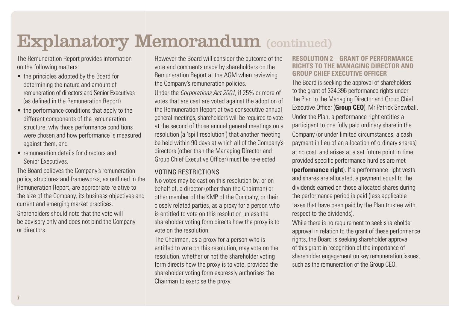The Remuneration Report provides information on the following matters:

- the principles adopted by the Board for determining the nature and amount of remuneration of directors and Senior Executives (as defined in the Remuneration Report)
- the performance conditions that apply to the different components of the remuneration structure, why those performance conditions were chosen and how performance is measured against them, and
- remuneration details for directors and Senior Executives.

The Board believes the Company's remuneration policy, structures and frameworks, as outlined in the Remuneration Report, are appropriate relative to the size of the Company, its business objectives and current and emerging market practices. Shareholders should note that the vote will be advisory only and does not bind the Company or directors.

However the Board will consider the outcome of the vote and comments made by shareholders on the Remuneration Report at the AGM when reviewing the Company's remuneration policies.

Under the *Corporations Act 2001*, if 25% or more of votes that are cast are voted against the adoption of the Remuneration Report at two consecutive annual general meetings, shareholders will be required to vote at the second of those annual general meetings on a resolution (a 'spill resolution') that another meeting be held within 90 days at which all of the Company's directors (other than the Managing Director and Group Chief Executive Officer) must be re-elected.

#### Voting restrictions

No votes may be cast on this resolution by, or on behalf of, a director (other than the Chairman) or other member of the KMP of the Company, or their closely related parties, as a proxy for a person who is entitled to vote on this resolution unless the shareholder voting form directs how the proxy is to vote on the resolution.

The Chairman, as a proxy for a person who is entitled to vote on this resolution, may vote on the resolution, whether or not the shareholder voting form directs how the proxy is to vote, provided the shareholder voting form expressly authorises the Chairman to exercise the proxy.

#### **Resolution 2 – Grant of performance rights to the Managing Director and Group Chief Executive Officer**

The Board is seeking the approval of shareholders to the grant of 324,396 performance rights under the Plan to the Managing Director and Group Chief Executive Officer (**Group CEO**), Mr Patrick Snowball. Under the Plan, a performance right entitles a participant to one fully paid ordinary share in the Company (or under limited circumstances, a cash payment in lieu of an allocation of ordinary shares) at no cost, and arises at a set future point in time, provided specific performance hurdles are met (**performance right**). If a performance right vests and shares are allocated, a payment equal to the dividends earned on those allocated shares during the performance period is paid (less applicable taxes that have been paid by the Plan trustee with respect to the dividends).

While there is no requirement to seek shareholder approval in relation to the grant of these performance rights, the Board is seeking shareholder approval of this grant in recognition of the importance of shareholder engagement on key remuneration issues, such as the remuneration of the Group CEO.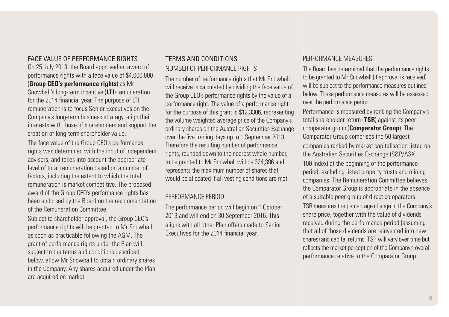#### Face value of performance rights

On 25 July 2013, the Board approved an award of performance rights with a face value of \$4,000,000 (**Group CEO's performance rights**) as Mr Snowball's long-term incentive (**LTI**) remuneration for the 2014 financial year. The purpose of LTI remuneration is to focus Senior Executives on the Company's long-term business strategy, align their interests with those of shareholders and support the creation of long-term shareholder value.

The face value of the Group CEO's performance rights was determined with the input of independent advisers, and takes into account the appropriate level of total remuneration based on a number of factors, including the extent to which the total remuneration is market competitive. The proposed award of the Group CEO's performance rights has been endorsed by the Board on the recommendation of the Remuneration Committee.

Subject to shareholder approval, the Group CEO's performance rights will be granted to Mr Snowball as soon as practicable following the AGM. The grant of performance rights under the Plan will, subject to the terms and conditions described below, allow Mr Snowball to obtain ordinary shares in the Company. Any shares acquired under the Plan are acquired on market.

### Terms and conditions Number of performance rights

The number of performance rights that Mr Snowball will receive is calculated by dividing the face value of the Group CEO's performance rights by the value of a performance right. The value of a performance right for the purpose of this grant is \$12.3306, representing the volume weighted average price of the Company's ordinary shares on the Australian Securities Exchange over the five trading days up to 1 September 2013. Therefore the resulting number of performance rights, rounded down to the nearest whole number, to be granted to Mr Snowball will be 324,396 and represents the maximum number of shares that would be allocated if all vesting conditions are met.

#### Performance period

The performance period will begin on 1 October 2013 and will end on 30 September 2016. This aligns with all other Plan offers made to Senior Executives for the 2014 financial year.

#### Performance measures

The Board has determined that the performance rights to be granted to Mr Snowball (if approval is received) will be subject to the performance measures outlined below. These performance measures will be assessed over the performance period.

Performance is measured by ranking the Company's total shareholder return (**TSR**) against its peer comparator group (**Comparator Group**). The Comparator Group comprises the 50 largest companies ranked by market capitalisation listed on the Australian Securities Exchange (S&P/ASX 100 Index) at the beginning of the performance period, excluding listed property trusts and mining companies. The Remuneration Committee believes the Comparator Group is appropriate in the absence of a suitable peer group of direct comparators.

TSR measures the percentage change in the Company's share price, together with the value of dividends received during the performance period (assuming that all of those dividends are reinvested into new shares) and capital returns. TSR will vary over time but reflects the market perception of the Company's overall performance relative to the Comparator Group.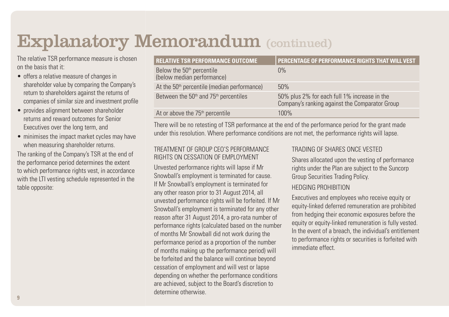The relative TSR performance measure is chosen on the basis that it:

- offers a relative measure of changes in shareholder value by comparing the Company's return to shareholders against the returns of companies of similar size and investment profile
- provides alignment between shareholder returns and reward outcomes for Senior Executives over the long term, and
- minimises the impact market cycles may have when measuring shareholder returns.

The ranking of the Company's TSR at the end of the performance period determines the extent to which performance rights vest, in accordance with the LTI vesting schedule represented in the table opposite:

| <b>RELATIVE TSR PERFORMANCE OUTCOME</b>                             | PERCENTAGE OF PERFORMANCE RIGHTS THAT WILL VEST                                                |
|---------------------------------------------------------------------|------------------------------------------------------------------------------------------------|
| Below the 50 <sup>th</sup> percentile<br>(below median performance) | $0\%$                                                                                          |
| At the 50 <sup>th</sup> percentile (median performance)             | 50%                                                                                            |
| Between the 50 <sup>th</sup> and 75 <sup>th</sup> percentiles       | 50% plus 2% for each full 1% increase in the<br>Company's ranking against the Comparator Group |
| At or above the 75 <sup>th</sup> percentile                         | 100%                                                                                           |

There will be no retesting of TSR performance at the end of the performance period for the grant made under this resolution. Where performance conditions are not met, the performance rights will lapse.

#### Treatment of Group CEO's performance rights on cessation of employment

Unvested performance rights will lapse if Mr Snowball's employment is terminated for cause. If Mr Snowball's employment is terminated for any other reason prior to 31 August 2014, all unvested performance rights will be forfeited. If Mr Snowball's employment is terminated for any other reason after 31 August 2014, a pro-rata number of performance rights (calculated based on the number of months Mr Snowball did not work during the performance period as a proportion of the number of months making up the performance period) will be forfeited and the balance will continue beyond cessation of employment and will vest or lapse depending on whether the performance conditions are achieved, subject to the Board's discretion to determine otherwise.

### Trading of shares once vested

Shares allocated upon the vesting of performance rights under the Plan are subject to the Suncorp Group Securities Trading Policy.

#### Hedging prohibition

Executives and employees who receive equity or equity-linked deferred remuneration are prohibited from hedging their economic exposures before the equity or equity-linked remuneration is fully vested. In the event of a breach, the individual's entitlement to performance rights or securities is forfeited with immediate effect.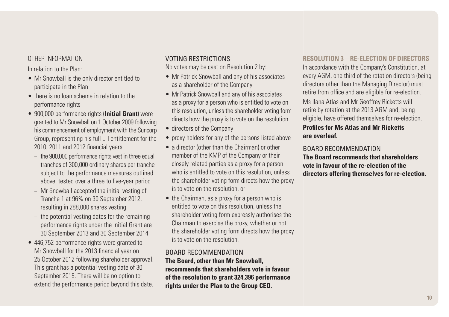#### Other information

In relation to the Plan:

- Mr Snowball is the only director entitled to participate in the Plan
- there is no loan scheme in relation to the performance rights
- • 900,000 performance rights (**Initial Grant**) were granted to Mr Snowball on 1 October 2009 following his commencement of employment with the Suncorp Group, representing his full LTI entitlement for the 2010, 2011 and 2012 financial years
	- − the 900,000 performance rights vest in three equal tranches of 300,000 ordinary shares per tranche subject to the performance measures outlined above, tested over a three to five-year period
	- − Mr Snowball accepted the initial vesting of Tranche 1 at 96% on 30 September 2012, resulting in 288,000 shares vesting
	- the potential vesting dates for the remaining performance rights under the Initial Grant are 30 September 2013 and 30 September 2014
- 446,752 performance rights were granted to Mr Snowball for the 2013 financial year on 25 October 2012 following shareholder approval. This grant has a potential vesting date of 30 September 2015. There will be no option to extend the performance period beyond this date.

#### Voting restrictions

No votes may be cast on Resolution 2 by:

- Mr Patrick Snowball and any of his associates as a shareholder of the Company
- Mr Patrick Snowball and any of his associates as a proxy for a person who is entitled to vote on this resolution, unless the shareholder voting form directs how the proxy is to vote on the resolution
- directors of the Company
- proxy holders for any of the persons listed above
- a director (other than the Chairman) or other member of the KMP of the Company or their closely related parties as a proxy for a person who is entitled to vote on this resolution, unless the shareholder voting form directs how the proxy is to vote on the resolution, or
- the Chairman, as a proxy for a person who is entitled to vote on this resolution, unless the shareholder voting form expressly authorises the Chairman to exercise the proxy, whether or not the shareholder voting form directs how the proxy is to vote on the resolution.

#### Board recommendation **The Board, other than Mr Snowball,**

**recommends that shareholders vote in favour of the resolution to grant 324,396 performance rights under the Plan to the Group CEO.**

#### **Resolution 3 – Re-election of directors**

In accordance with the Company's Constitution, at every AGM, one third of the rotation directors (being directors other than the Managing Director) must retire from office and are eligible for re-election.

Ms Ilana Atlas and Mr Geoffrey Ricketts will retire by rotation at the 2013 AGM and, being eligible, have offered themselves for re-election.

#### **Profiles for Ms Atlas and Mr Ricketts are overleaf.**

### Board recommendation

**The Board recommends that shareholders vote in favour of the re-election of the directors offering themselves for re-election.**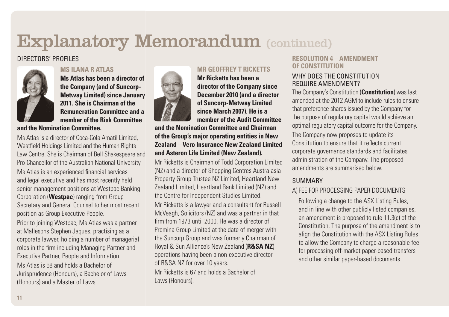### directors' profiles



#### **Ms Ilana R Atlas**

**Ms Atlas has been a director of the Company (and of Suncorp-Metway Limited) since January 2011. She is Chairman of the Remuneration Committee and a member of the Risk Committee** 

**and the Nomination Committee.**

Ms Atlas is a director of Coca-Cola Amatil Limited Westfield Holdings Limited and the Human Rights Law Centre. She is Chairman of Bell Shakespeare and Pro-Chancellor of the Australian National University. Ms Atlas is an experienced financial services and legal executive and has most recently held senior management positions at Westpac Banking Corporation (**Westpac**) ranging from Group Secretary and General Counsel to her most recent position as Group Executive People.

Prior to joining Westpac, Ms Atlas was a partner at Mallesons Stephen Jaques, practising as a corporate lawyer, holding a number of managerial roles in the firm including Managing Partner and Executive Partner, People and Information. Ms Atlas is 58 and holds a Bachelor of Jurisprudence (Honours), a Bachelor of Laws (Honours) and a Master of Laws.



### **Mr Geoffrey T Ricketts**

**Mr Ricketts has been a director of the Company since December 2010 (and a director of Suncorp-Metway Limited since March 2007). He is a member of the Audit Committee** 

**and the Nomination Committee and Chairman of the Group's major operating entities in New Zealand – Vero Insurance New Zealand Limited and Asteron Life Limited (New Zealand).**

Mr Ricketts is Chairman of Todd Corporation Limited (NZ) and a director of Shopping Centres Australasia Property Group Trustee NZ Limited, Heartland New Zealand Limited, Heartland Bank Limited (NZ) and the Centre for Independent Studies Limited. Mr Ricketts is a lawyer and a consultant for Russell McVeagh, Solicitors (NZ) and was a partner in that firm from 1973 until 2000. He was a director of Promina Group Limited at the date of merger with the Suncorp Group and was formerly Chairman of Royal & Sun Alliance's New Zealand (**R&SA NZ**) operations having been a non-executive director of R&SA NZ for over 10 years.

Mr Ricketts is 67 and holds a Bachelor of Laws (Honours).

#### **Resolution 4 – amendment of Constitution**

#### WHY DOES THE CONSTITUTION require amendment?

The Company's Constitution (**Constitution**) was last amended at the 2012 AGM to include rules to ensure that preference shares issued by the Company for the purpose of regulatory capital would achieve an optimal regulatory capital outcome for the Company. The Company now proposes to update its Constitution to ensure that it reflects current corporate governance standards and facilitates administration of the Company. The proposed amendments are summarised below.

### **SUMMARY**

### a)Fee for processing paper documents

 Following a change to the ASX Listing Rules, and in line with other publicly listed companies, an amendment is proposed to rule 11.3(c) of the Constitution. The purpose of the amendment is to align the Constitution with the ASX Listing Rules to allow the Company to charge a reasonable fee for processing off-market paper-based transfers and other similar paper-based documents.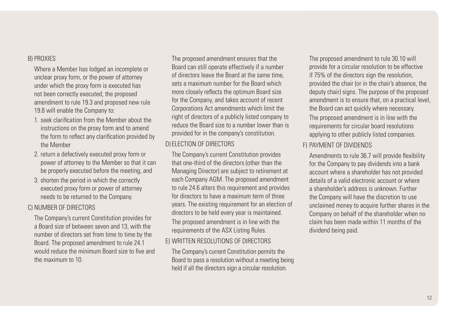#### b) Proxies

 Where a Member has lodged an incomplete or unclear proxy form, or the power of attorney under which the proxy form is executed has not been correctly executed, the proposed amendment to rule 19.3 and proposed new rule 19.8 will enable the Company to:

- 1. seek clarification from the Member about the instructions on the proxy form and to amend the form to reflect any clarification provided by the Member
- 2. return a defectively executed proxy form or power of attorney to the Member so that it can be properly executed before the meeting, and
- 3. shorten the period in which the correctly executed proxy form or power of attorney needs to be returned to the Company.

#### c) Number of directors

 The Company's current Constitution provides for a Board size of between seven and 13, with the number of directors set from time to time by the Board. The proposed amendment to rule 24.1 would reduce the minimum Board size to five and the maximum to 10.

 The proposed amendment ensures that the Board can still operate effectively if a number of directors leave the Board at the same time, sets a maximum number for the Board which more closely reflects the optimum Board size for the Company, and takes account of recent Corporations Act amendments which limit the right of directors of a publicly listed company to reduce the Board size to a number lower than is provided for in the company's constitution.

#### d) Election of directors

 The Company's current Constitution provides that one-third of the directors (other than the Managing Director) are subject to retirement at each Company AGM. The proposed amendment to rule 24.6 alters this requirement and provides for directors to have a maximum term of three years. The existing requirement for an election of directors to be held every year is maintained.

 The proposed amendment is in line with the requirements of the ASX Listing Rules.

#### e) Written resolutions of directors

 The Company's current Constitution permits the Board to pass a resolution without a meeting being held if all the directors sign a circular resolution.

 The proposed amendment to rule 30.10 will provide for a circular resolution to be effective if 75% of the directors sign the resolution, provided the chair (or in the chair's absence, the deputy chair) signs. The purpose of the proposed amendment is to ensure that, on a practical level, the Board can act quickly where necessary. The proposed amendment is in line with the requirements for circular board resolutions applying to other publicly listed companies.

#### f) Payment of dividends

 Amendments to rule 36.7 will provide flexibility for the Company to pay dividends into a bank account where a shareholder has not provided details of a valid electronic account or where a shareholder's address is unknown. Further the Company will have the discretion to use unclaimed money to acquire further shares in the Company on behalf of the shareholder when no claim has been made within 11 months of the dividend being paid.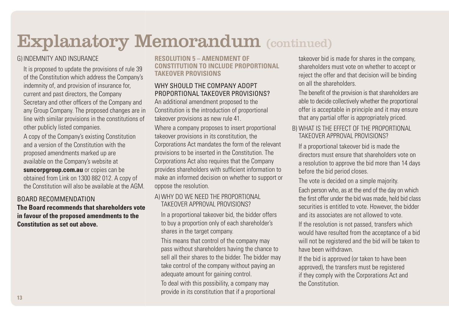### g) Indemnity and insurance

 It is proposed to update the provisions of rule 39 of the Constitution which address the Company's indemnity of, and provision of insurance for, current and past directors, the Company Secretary and other officers of the Company and any Group Company. The proposed changes are in line with similar provisions in the constitutions of other publicly listed companies.

 A copy of the Company's existing Constitution and a version of the Constitution with the proposed amendments marked up are available on the Company's website at **suncorpgroup.com.au** or copies can be obtained from Link on 1300 882 012. A copy of the Constitution will also be available at the AGM.

## Board recommendation

**The Board recommends that shareholders vote in favour of the proposed amendments to the Constitution as set out above.**

#### **Resolution 5 – Amendment of Constitution to include proportional takeover provisions**

### WHY SHOULD THE COMPANY ADOPT proportional takeover provisions?

An additional amendment proposed to the Constitution is the introduction of proportional takeover provisions as new rule 41.

Where a company proposes to insert proportional takeover provisions in its constitution, the Corporations Act mandates the form of the relevant provisions to be inserted in the Constitution. The Corporations Act also requires that the Company provides shareholders with sufficient information to make an informed decision on whether to support or oppose the resolution.

#### a) Why do we need the proportional takeover approval provisions?

 In a proportional takeover bid, the bidder offers to buy a proportion only of each shareholder's shares in the target company.

This means that control of the company may pass without shareholders having the chance to sell all their shares to the bidder. The bidder may take control of the company without paying an adequate amount for gaining control.

To deal with this possibility, a company may provide in its constitution that if a proportional takeover bid is made for shares in the company, shareholders must vote on whether to accept or reject the offer and that decision will be binding on all the shareholders.

The benefit of the provision is that shareholders are able to decide collectively whether the proportional offer is acceptable in principle and it may ensure that any partial offer is appropriately priced.

### b) What is the effect of the proportional takeover approval provisions?

If a proportional takeover bid is made the directors must ensure that shareholders vote on a resolution to approve the bid more than 14 days before the bid period closes.

The vote is decided on a simple majority.

Each person who, as at the end of the day on which the first offer under the bid was made, held bid class securities is entitled to vote. However, the bidder and its associates are not allowed to vote.

If the resolution is not passed, transfers which would have resulted from the acceptance of a bid will not be registered and the bid will be taken to have been withdrawn.

If the bid is approved (or taken to have been approved), the transfers must be registered if they comply with the Corporations Act and the Constitution.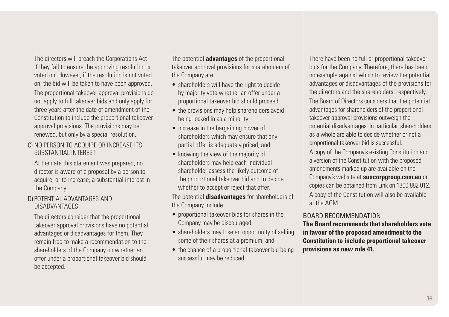The directors will breach the Corporations Act if they fail to ensure the approving resolution is voted on. However, if the resolution is not voted on, the bid will be taken to have been approved. The proportional takeover approval provisions do not apply to full takeover bids and only apply for three years after the date of amendment of the Constitution to include the proportional takeover approval provisions. The provisions may be renewed, but only by a special resolution.

#### c) No person to acquire or increase its substantial interest

At the date this statement was prepared, no director is aware of a proposal by a person to acquire, or to increase, a substantial interest in the Company.

#### d) Potential advantages and disadvantages

The directors consider that the proportional takeover approval provisions have no potential advantages or disadvantages for them. They remain free to make a recommendation to the shareholders of the Company on whether an offer under a proportional takeover bid should be accepted.

The potential **advantages** of the proportional takeover approval provisions for shareholders of the Company are:

- shareholders will have the right to decide by majority vote whether an offer under a proportional takeover bid should proceed
- the provisions may help shareholders avoid being locked in as a minority
- increase in the bargaining power of shareholders which may ensure that any partial offer is adequately priced, and
- knowing the view of the majority of shareholders may help each individual shareholder assess the likely outcome of the proportional takeover bid and to decide whether to accept or reject that offer.

The potential **disadvantages** for shareholders of the Company include:

- proportional takeover bids for shares in the Company may be discouraged
- shareholders may lose an opportunity of selling some of their shares at a premium, and
- the chance of a proportional takeover bid being successful may be reduced.

There have been no full or proportional takeover bids for the Company. Therefore, there has been no example against which to review the potential advantages or disadvantages of the provisions for the directors and the shareholders, respectively.

The Board of Directors considers that the potential advantages for shareholders of the proportional takeover approval provisions outweigh the potential disadvantages. In particular, shareholders as a whole are able to decide whether or not a proportional takeover bid is successful.

A copy of the Company's existing Constitution and a version of the Constitution with the proposed amendments marked up are available on the Company's website at **suncorpgroup.com.au** or copies can be obtained from Link on 1300 882 012. A copy of the Constitution will also be available at the AGM.

#### Board recommendation

**The Board recommends that shareholders vote in favour of the proposed amendment to the Constitution to include proportional takeover provisions as new rule 41.**